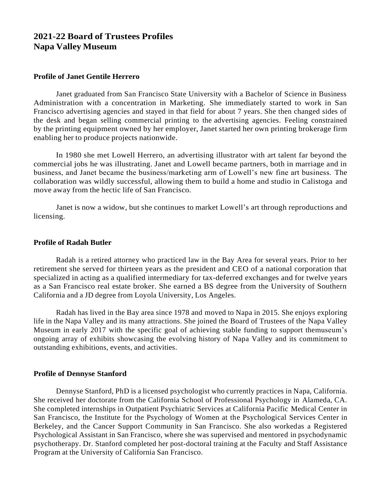# **2021-22 Board of Trustees Profiles Napa Valley Museum**

## **Profile of Janet Gentile Herrero**

Janet graduated from San Francisco State University with a Bachelor of Science in Business Administration with a concentration in Marketing. She immediately started to work in San Francisco advertising agencies and stayed in that field for about 7 years. She then changed sides of the desk and began selling commercial printing to the advertising agencies. Feeling constrained by the printing equipment owned by her employer, Janet started her own printing brokerage firm enabling her to produce projects nationwide.

In 1980 she met Lowell Herrero, an advertising illustrator with art talent far beyond the commercial jobs he was illustrating. Janet and Lowell became partners, both in marriage and in business, and Janet became the business/marketing arm of Lowell's new fine art business. The collaboration was wildly successful, allowing them to build a home and studio in Calistoga and move away from the hectic life of San Francisco.

Janet is now a widow, but she continues to market Lowell's art through reproductions and licensing.

#### **Profile of Radah Butler**

Radah is a retired attorney who practiced law in the Bay Area for several years. Prior to her retirement she served for thirteen years as the president and CEO of a national corporation that specialized in acting as a qualified intermediary for tax-deferred exchanges and for twelve years as a San Francisco real estate broker. She earned a BS degree from the University of Southern California and a JD degree from Loyola University, Los Angeles.

Radah has lived in the Bay area since 1978 and moved to Napa in 2015. She enjoys exploring life in the Napa Valley and its many attractions. She joined the Board of Trustees of the Napa Valley Museum in early 2017 with the specific goal of achieving stable funding to support themuseum's ongoing array of exhibits showcasing the evolving history of Napa Valley and its commitment to outstanding exhibitions, events, and activities.

#### **Profile of Dennyse Stanford**

Dennyse Stanford, PhD is a licensed psychologist who currently practices in Napa, California. She received her doctorate from the California School of Professional Psychology in Alameda, CA. She completed internships in Outpatient Psychiatric Services at California Pacific Medical Center in San Francisco, the Institute for the Psychology of Women at the Psychological Services Center in Berkeley, and the Cancer Support Community in San Francisco. She also workedas a Registered Psychological Assistant in San Francisco, where she was supervised and mentored in psychodynamic psychotherapy. Dr. Stanford completed her post-doctoral training at the Faculty and Staff Assistance Program at the University of California San Francisco.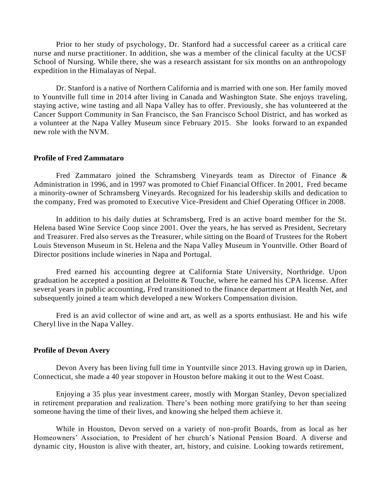Prior to her study of psychology, Dr. Stanford had a successful career as a critical care nurse and nurse practitioner. In addition, she was a member of the clinical faculty at the UCSF School of Nursing. While there, she was a research assistant for six months on an anthropology expedition in the Himalayas of Nepal.

Dr. Stanford is a native of Northern California and is married with one son. Her family moved to Yountville full time in 2014 after living in Canada and Washington State. She enjoys traveling, staying active, wine tasting and all Napa Valley has to offer. Previously, she has volunteered at the Cancer Support Community in San Francisco, the San Francisco School District, and has worked as a volunteer at the Napa Valley Museum since February 2015. She looks forward to an expanded new role with the NVM.

#### **Profile of Fred Zammataro**

Fred Zammataro joined the Schramsberg Vineyards team as Director of Finance  $\&$ Administration in 1996, and in 1997 was promoted to Chief Financial Officer. In 2001, Fred became a minority-owner of Schramsberg Vineyards. Recognized for his leadership skills and dedication to the company, Fred was promoted to Executive Vice-President and Chief Operating Officer in 2008.

In addition to his daily duties at Schramsberg, Fred is an active board member for the St. Helena based Wine Service Coop since 2001. Over the years, he has served as President, Secretary and Treasurer. Fred also serves as the Treasurer, while sitting on the Board of Trustees for the Robert Louis Stevenson Museum in St. Helena and the Napa Valley Museum in Yountville. Other Board of Director positions include wineries in Napa and Portugal.

Fred earned his accounting degree at California State University, Northridge. Upon graduation he accepted a position at Deloitte & Touche, where he earned his CPA license. After several years in public accounting, Fred transitioned to the finance department at Health Net, and subsequently joined a team which developed a new Workers Compensation division.

Fred is an avid collector of wine and art, as well as a sports enthusiast. He and his wife Cheryl live in the Napa Valley.

#### **Profile of Devon Avery**

Devon Avery has been living full time in Yountville since 2013. Having grown up in Darien, Connecticut, she made a 40 year stopover in Houston before making it out to the West Coast.

Enjoying a 35 plus year investment career, mostly with Morgan Stanley, Devon specialized in retirement preparation and realization. There's been nothing more gratifying to her than seeing someone having the time of their lives, and knowing she helped them achieve it.

While in Houston, Devon served on a variety of non-profit Boards, from as local as her Homeowners' Association, to President of her church's National Pension Board. A diverse and dynamic city, Houston is alive with theater, art, history, and cuisine. Looking towards retirement,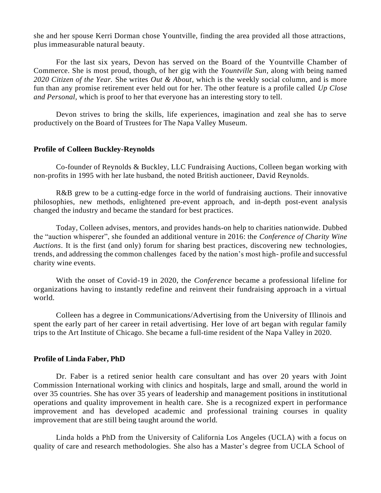she and her spouse Kerri Dorman chose Yountville, finding the area provided all those attractions, plus immeasurable natural beauty.

For the last six years, Devon has served on the Board of the Yountville Chamber of Commerce. She is most proud, though, of her gig with the *Yountville Sun,* along with being named *2020 Citizen of the Year.* She writes *Out & About,* which is the weekly social column, and is more fun than any promise retirement ever held out for her. The other feature is a profile called *Up Close and Personal,* which is proof to her that everyone has an interesting story to tell.

Devon strives to bring the skills, life experiences, imagination and zeal she has to serve productively on the Board of Trustees for The Napa Valley Museum.

#### **Profile of Colleen Buckley-Reynolds**

Co-founder of Reynolds & Buckley, LLC Fundraising Auctions, Colleen began working with non-profits in 1995 with her late husband, the noted British auctioneer, David Reynolds.

R&B grew to be a cutting-edge force in the world of fundraising auctions. Their innovative philosophies, new methods, enlightened pre-event approach, and in-depth post-event analysis changed the industry and became the standard for best practices.

Today, Colleen advises, mentors, and provides hands-on help to charities nationwide. Dubbed the "auction whisperer", she founded an additional venture in 2016: the *Conference of Charity Wine Auctions*. It is the first (and only) forum for sharing best practices, discovering new technologies, trends, and addressing the common challenges faced by the nation's most high- profile and successful charity wine events.

With the onset of Covid-19 in 2020, the *Conference* became a professional lifeline for organizations having to instantly redefine and reinvent their fundraising approach in a virtual world.

Colleen has a degree in Communications/Advertising from the University of Illinois and spent the early part of her career in retail advertising. Her love of art began with regular family trips to the Art Institute of Chicago. She became a full-time resident of the Napa Valley in 2020.

#### **Profile of Linda Faber, PhD**

Dr. Faber is a retired senior health care consultant and has over 20 years with Joint Commission International working with clinics and hospitals, large and small, around the world in over 35 countries. She has over 35 years of leadership and management positions in institutional operations and quality improvement in health care. She is a recognized expert in performance improvement and has developed academic and professional training courses in quality improvement that are still being taught around the world.

Linda holds a PhD from the University of California Los Angeles (UCLA) with a focus on quality of care and research methodologies. She also has a Master's degree from UCLA School of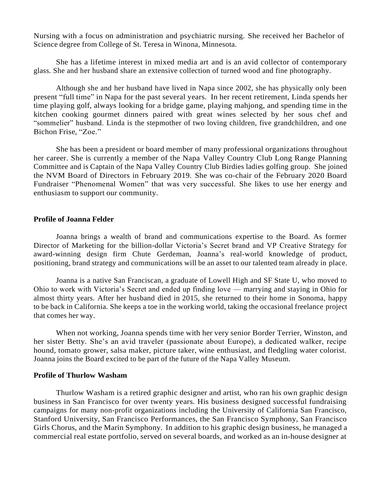Nursing with a focus on administration and psychiatric nursing. She received her Bachelor of Science degree from College of St. Teresa in Winona, Minnesota.

She has a lifetime interest in mixed media art and is an avid collector of contemporary glass. She and her husband share an extensive collection of turned wood and fine photography.

Although she and her husband have lived in Napa since 2002, she has physically only been present "full time" in Napa for the past several years. In her recent retirement, Linda spends her time playing golf, always looking for a bridge game, playing mahjong, and spending time in the kitchen cooking gourmet dinners paired with great wines selected by her sous chef and "sommelier" husband. Linda is the stepmother of two loving children, five grandchildren, and one Bichon Frise, "Zoe."

She has been a president or board member of many professional organizations throughout her career. She is currently a member of the Napa Valley Country Club Long Range Planning Committee and is Captain of the Napa Valley Country Club Birdies ladies golfing group. She joined the NVM Board of Directors in February 2019. She was co-chair of the February 2020 Board Fundraiser "Phenomenal Women" that was very successful. She likes to use her energy and enthusiasm to support our community.

## **Profile of Joanna Felder**

Joanna brings a wealth of brand and communications expertise to the Board. As former Director of Marketing for the billion-dollar Victoria's Secret brand and VP Creative Strategy for award-winning design firm Chute Gerdeman, Joanna's real-world knowledge of product, positioning, brand strategy and communications will be an asset to our talented team already in place.

Joanna is a native San Franciscan, a graduate of Lowell High and SF State U, who moved to Ohio to work with Victoria's Secret and ended up finding love — marrying and staying in Ohio for almost thirty years. After her husband died in 2015, she returned to their home in Sonoma, happy to be back in California. She keeps a toe in the working world, taking the occasional freelance project that comes her way.

When not working, Joanna spends time with her very senior Border Terrier, Winston, and her sister Betty. She's an avid traveler (passionate about Europe), a dedicated walker, recipe hound, tomato grower, salsa maker, picture taker, wine enthusiast, and fledgling water colorist. Joanna joins the Board excited to be part of the future of the Napa Valley Museum.

## **Profile of Thurlow Washam**

Thurlow Washam is a retired graphic designer and artist, who ran his own graphic design business in San Francisco for over twenty years. His business designed successful fundraising campaigns for many non-profit organizations including the University of California San Francisco, Stanford University, San Francisco Performances, the San Francisco Symphony, San Francisco Girls Chorus, and the Marin Symphony. In addition to his graphic design business, he managed a commercial real estate portfolio, served on several boards, and worked as an in-house designer at